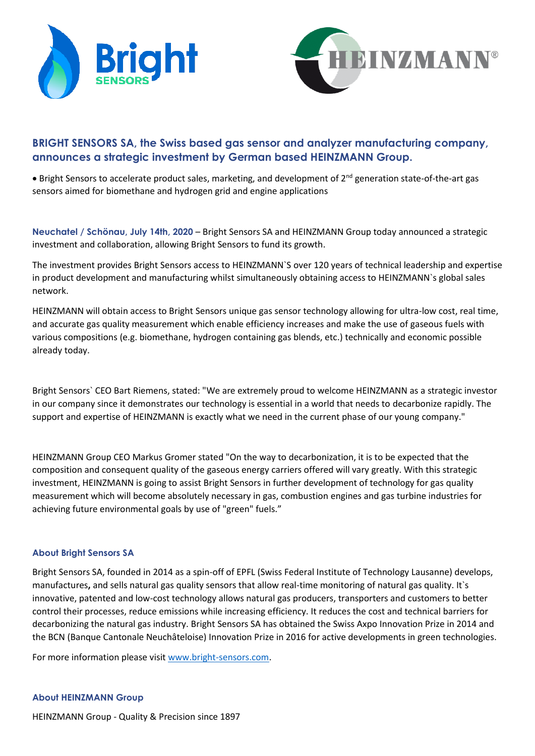



# **BRIGHT SENSORS SA, the Swiss based gas sensor and analyzer manufacturing company, announces a strategic investment by German based HEINZMANN Group.**

• Bright Sensors to accelerate product sales, marketing, and development of 2nd generation state-of-the-art gas sensors aimed for biomethane and hydrogen grid and engine applications

**Neuchatel / Schönau, July 14th, 2020** – Bright Sensors SA and HEINZMANN Group today announced a strategic investment and collaboration, allowing Bright Sensors to fund its growth.

The investment provides Bright Sensors access to HEINZMANN`S over 120 years of technical leadership and expertise in product development and manufacturing whilst simultaneously obtaining access to HEINZMANN`s global sales network.

HEINZMANN will obtain access to Bright Sensors unique gas sensor technology allowing for ultra-low cost, real time, and accurate gas quality measurement which enable efficiency increases and make the use of gaseous fuels with various compositions (e.g. biomethane, hydrogen containing gas blends, etc.) technically and economic possible already today.

Bright Sensors` CEO Bart Riemens, stated: "We are extremely proud to welcome HEINZMANN as a strategic investor in our company since it demonstrates our technology is essential in a world that needs to decarbonize rapidly. The support and expertise of HEINZMANN is exactly what we need in the current phase of our young company."

HEINZMANN Group CEO Markus Gromer stated "On the way to decarbonization, it is to be expected that the composition and consequent quality of the gaseous energy carriers offered will vary greatly. With this strategic investment, HEINZMANN is going to assist Bright Sensors in further development of technology for gas quality measurement which will become absolutely necessary in gas, combustion engines and gas turbine industries for achieving future environmental goals by use of "green" fuels."

## **About Bright Sensors SA**

Bright Sensors SA, founded in 2014 as a spin-off of EPFL (Swiss Federal Institute of Technology Lausanne) develops, manufactures**,** and sells natural gas quality sensors that allow real-time monitoring of natural gas quality. It`s innovative, patented and low-cost technology allows natural gas producers, transporters and customers to better control their processes, reduce emissions while increasing efficiency. It reduces the cost and technical barriers for decarbonizing the natural gas industry. Bright Sensors SA has obtained the Swiss Axpo Innovation Prize in 2014 and the BCN (Banque Cantonale Neuchâteloise) Innovation Prize in 2016 for active developments in green technologies.

For more information please visit [www.bright-sensors.com.](http://www.bright-sensors.com/)

## **About HEINZMANN Group**

HEINZMANN Group - Quality & Precision since 1897